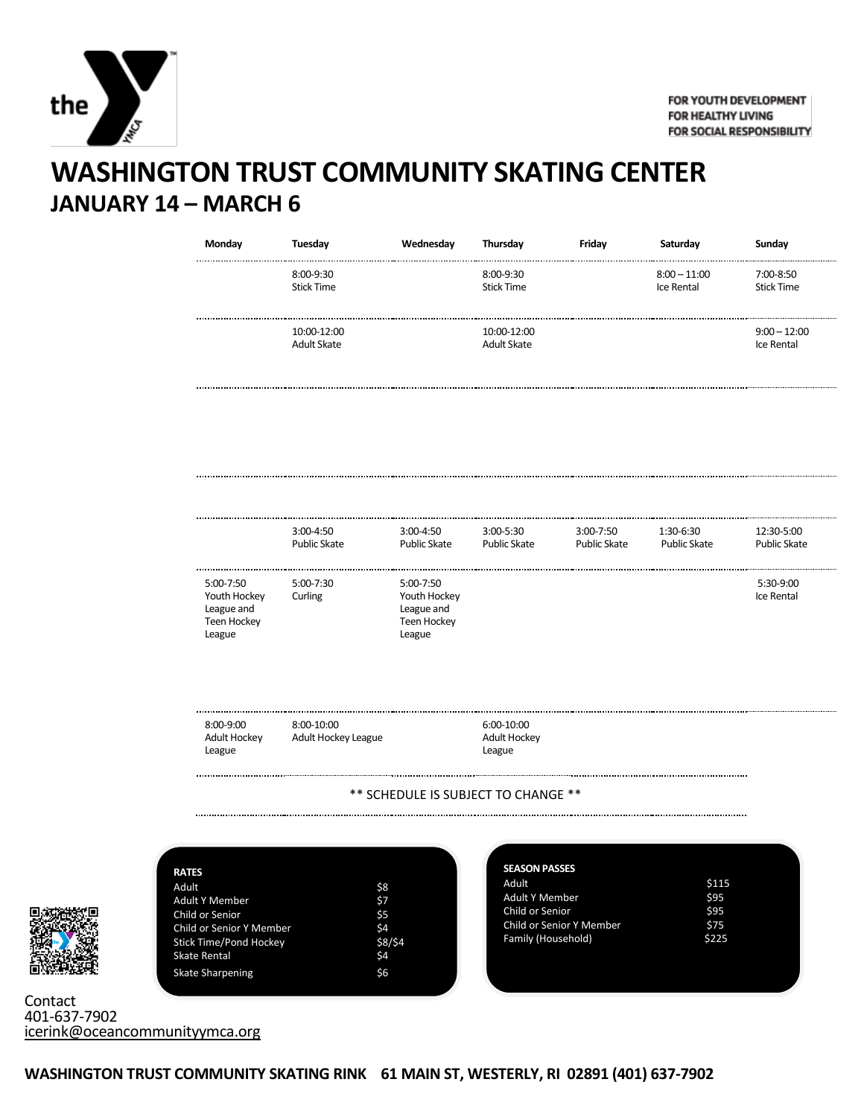

## **WASHINGTON TRUST COMMUNITY SKATING CENTER JANUARY 14 – MARCH 6**

| Monday                                                           | Tuesday                             | Wednesday                                                        | Thursday                             | Friday              | Saturday                     | Sunday                         |
|------------------------------------------------------------------|-------------------------------------|------------------------------------------------------------------|--------------------------------------|---------------------|------------------------------|--------------------------------|
|                                                                  | 8:00-9:30<br><b>Stick Time</b>      |                                                                  | 8:00-9:30<br><b>Stick Time</b>       |                     | $8:00 - 11:00$<br>Ice Rental | 7:00-8:50<br><b>Stick Time</b> |
|                                                                  | 10:00-12:00<br><b>Adult Skate</b>   |                                                                  | 10:00-12:00<br><b>Adult Skate</b>    |                     |                              | $9:00 - 12:00$<br>Ice Rental   |
|                                                                  | 3:00-4:50                           | 3:00-4:50                                                        | 3:00-5:30                            | 3:00-7:50           | 1:30-6:30                    | 12:30-5:00                     |
|                                                                  | <b>Public Skate</b>                 | <b>Public Skate</b>                                              | <b>Public Skate</b>                  | <b>Public Skate</b> | <b>Public Skate</b>          | <b>Public Skate</b>            |
| 5:00-7:50<br>Youth Hockey<br>League and<br>Teen Hockey<br>League | 5:00-7:30<br>Curling                | 5:00-7:50<br>Youth Hockey<br>League and<br>Teen Hockey<br>League |                                      |                     |                              | 5:30-9:00<br>Ice Rental        |
| 8:00-9:00<br>Adult Hockey<br>League                              | $8:00-10:00$<br>Adult Hockey League |                                                                  | 6:00-10:00<br>Adult Hockey<br>League |                     |                              |                                |
|                                                                  |                                     |                                                                  | ** SCHEDULE IS SUBJECT TO CHANGE **  |                     |                              |                                |



| <b>RATES</b>                    |         |
|---------------------------------|---------|
| Adult                           | \$8     |
| <b>Adult Y Member</b>           | \$7     |
| Child or Senior                 | \$5     |
| <b>Child or Senior Y Member</b> | \$4     |
| <b>Stick Time/Pond Hockey</b>   | \$8/\$4 |
| <b>Skate Rental</b>             | \$4     |
| <b>Skate Sharpening</b>         | \$6     |
|                                 |         |

| Adult                           | \$115 |
|---------------------------------|-------|
| <b>Adult Y Member</b>           | \$95  |
| Child or Senior                 | \$95  |
| <b>Child or Senior Y Member</b> | \$75  |
| Family (Household)              | \$225 |

**Contact** 401-637-7902 [icerink@oceancommunityymca.org](mailto:icerink@oceancommunityymca.org)